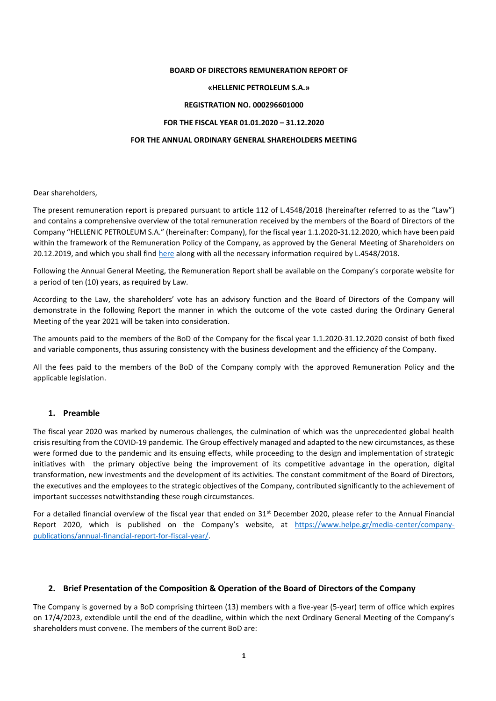#### **BOARD OF DIRECTORS REMUNERATION REPORT OF**

#### **«HELLENIC PETROLEUM S.A.»**

#### **REGISTRATION NO. 000296601000**

### **FOR THE FISCAL YEAR 01.01.2020 – 31.12.2020**

### **FOR THE ANNUAL ORDINARY GENERAL SHAREHOLDERS MEETING**

Dear shareholders,

The present remuneration report is prepared pursuant to article 112 of L.4548/2018 (hereinafter referred to as the "Law") and contains a comprehensive overview of the total remuneration received by the members of the Board of Directors of the Company "HELLENIC PETROLEUM S.A." (hereinafter: Company), for the fiscal year 1.1.2020-31.12.2020, which have been paid within the framework of the Remuneration Policy of the Company, as approved by the General Meeting of Shareholders on 20.12.2019, and which you shall fin[d here](https://www.helpe.gr/investor-relations/corporate-governance/politiki-apodochon-melon-%20ds/) along with all the necessary information required by L.4548/2018.

Following the Annual General Meeting, the Remuneration Report shall be available on the Company's corporate website for a period of ten (10) years, as required by Law.

According to the Law, the shareholders' vote has an advisory function and the Board of Directors of the Company will demonstrate in the following Report the manner in which the outcome of the vote casted during the Ordinary General Meeting of the year 2021 will be taken into consideration.

The amounts paid to the members of the BoD of the Company for the fiscal year 1.1.2020-31.12.2020 consist of both fixed and variable components, thus assuring consistency with the business development and the efficiency of the Company.

All the fees paid to the members of the BoD of the Company comply with the approved Remuneration Policy and the applicable legislation.

#### **1. Preamble**

The fiscal year 2020 was marked by numerous challenges, the culmination of which was the unprecedented global health crisis resulting from the COVID-19 pandemic. The Group effectively managed and adapted to the new circumstances, as these were formed due to the pandemic and its ensuing effects, while proceeding to the design and implementation of strategic initiatives with the primary objective being the improvement of its competitive advantage in the operation, digital transformation, new investments and the development of its activities. The constant commitment of the Board of Directors, the executives and the employees to the strategic objectives of the Company, contributed significantly to the achievement of important successes notwithstanding these rough circumstances.

For a detailed financial overview of the fiscal year that ended on 31<sup>st</sup> December 2020, please refer to the Annual Financial Report 2020, which is published on the Company's website, at [https://www.helpe.gr/media-center/company](https://www.helpe.gr/media-center/company-publications/annual-financial-report-for-fiscal-year/)[publications/annual-financial-report-for-fiscal-year/.](https://www.helpe.gr/media-center/company-publications/annual-financial-report-for-fiscal-year/) 

## **2. Brief Presentation of the Composition & Operation of the Board of Directors of the Company**

The Company is governed by a BoD comprising thirteen (13) members with a five-year (5-year) term of office which expires on 17/4/2023, extendible until the end of the deadline, within which the next Ordinary General Meeting of the Company's shareholders must convene. The members of the current BoD are: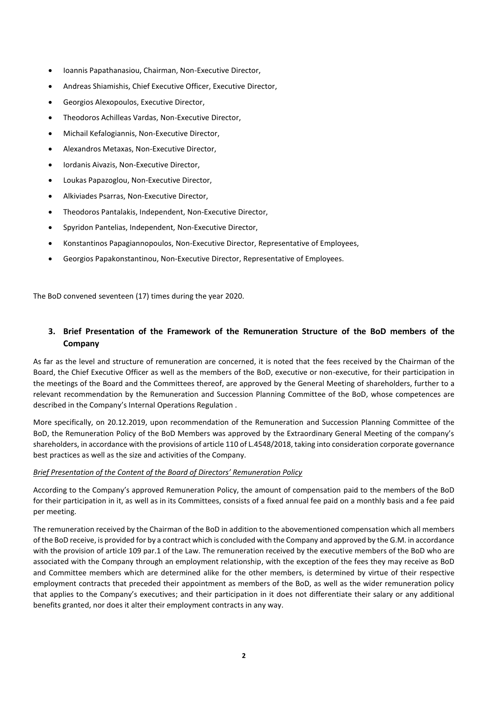- Ioannis Papathanasiou, Chairman, Non-Executive Director,
- Andreas Shiamishis, Chief Executive Officer, Executive Director,
- Georgios Alexopoulos, Executive Director,
- Theodoros Achilleas Vardas, Non-Executive Director,
- Michail Kefalogiannis, Non-Executive Director,
- Alexandros Metaxas, Non-Executive Director,
- Iordanis Aivazis, Non-Executive Director,
- Loukas Papazoglou, Non-Executive Director,
- Alkiviades Psarras, Non-Executive Director,
- Theodoros Pantalakis, Independent, Non-Executive Director,
- Spyridon Pantelias, Independent, Non-Executive Director,
- Konstantinos Papagiannopoulos, Non-Executive Director, Representative of Employees,
- Georgios Papakonstantinou, Non-Executive Director, Representative of Employees.

The BoD convened seventeen (17) times during the year 2020.

# **3. Brief Presentation of the Framework of the Remuneration Structure of the BoD members of the Company**

As far as the level and structure of remuneration are concerned, it is noted that the fees received by the Chairman of the Board, the Chief Executive Officer as well as the members of the BoD, executive or non-executive, for their participation in the meetings of the Board and the Committees thereof, are approved by the General Meeting of shareholders, further to a relevant recommendation by the Remuneration and Succession Planning Committee of the BoD, whose competences are described in the Company's Internal Operations Regulation .

More specifically, on 20.12.2019, upon recommendation of the Remuneration and Succession Planning Committee of the BoD, the Remuneration Policy of the BoD Members was approved by the Extraordinary General Meeting of the company's shareholders, in accordance with the provisions of article 110 of L.4548/2018, taking into consideration corporate governance best practices as well as the size and activities of the Company.

## *Brief Presentation of the Content of the Board of Directors' Remuneration Policy*

According to the Company's approved Remuneration Policy, the amount of compensation paid to the members of the BoD for their participation in it, as well as in its Committees, consists of a fixed annual fee paid on a monthly basis and a fee paid per meeting.

The remuneration received by the Chairman of the BoD in addition to the abovementioned compensation which all members of the BoD receive, is provided for by a contract which is concluded with the Company and approved by the G.M. in accordance with the provision of article 109 par.1 of the Law. The remuneration received by the executive members of the BoD who are associated with the Company through an employment relationship, with the exception of the fees they may receive as BoD and Committee members which are determined alike for the other members, is determined by virtue of their respective employment contracts that preceded their appointment as members of the BoD, as well as the wider remuneration policy that applies to the Company's executives; and their participation in it does not differentiate their salary or any additional benefits granted, nor does it alter their employment contracts in any way.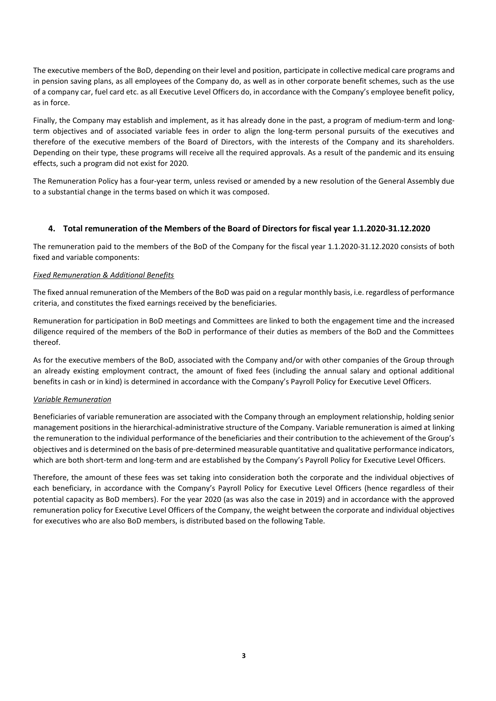The executive members of the BoD, depending on their level and position, participate in collective medical care programs and in pension saving plans, as all employees of the Company do, as well as in other corporate benefit schemes, such as the use of a company car, fuel card etc. as all Executive Level Officers do, in accordance with the Company's employee benefit policy, as in force.

Finally, the Company may establish and implement, as it has already done in the past, a program of medium-term and longterm objectives and of associated variable fees in order to align the long-term personal pursuits of the executives and therefore of the executive members of the Board of Directors, with the interests of the Company and its shareholders. Depending on their type, these programs will receive all the required approvals. As a result of the pandemic and its ensuing effects, such a program did not exist for 2020.

The Remuneration Policy has a four-year term, unless revised or amended by a new resolution of the General Assembly due to a substantial change in the terms based on which it was composed.

## **4. Total remuneration of the Members of the Board of Directors for fiscal year 1.1.2020-31.12.2020**

The remuneration paid to the members of the BoD of the Company for the fiscal year 1.1.2020-31.12.2020 consists of both fixed and variable components:

## *Fixed Remuneration & Additional Benefits*

The fixed annual remuneration of the Members of the BoD was paid on a regular monthly basis, i.e. regardless of performance criteria, and constitutes the fixed earnings received by the beneficiaries.

Remuneration for participation in BoD meetings and Committees are linked to both the engagement time and the increased diligence required of the members of the BoD in performance of their duties as members of the BoD and the Committees thereof.

As for the executive members of the BoD, associated with the Company and/or with other companies of the Group through an already existing employment contract, the amount of fixed fees (including the annual salary and optional additional benefits in cash or in kind) is determined in accordance with the Company's Payroll Policy for Executive Level Officers.

#### *Variable Remuneration*

Beneficiaries of variable remuneration are associated with the Company through an employment relationship, holding senior management positions in the hierarchical-administrative structure of the Company. Variable remuneration is aimed at linking the remuneration to the individual performance of the beneficiaries and their contribution to the achievement of the Group's objectives and is determined on the basis of pre-determined measurable quantitative and qualitative performance indicators, which are both short-term and long-term and are established by the Company's Payroll Policy for Executive Level Officers.

Therefore, the amount of these fees was set taking into consideration both the corporate and the individual objectives of each beneficiary, in accordance with the Company's Payroll Policy for Executive Level Officers (hence regardless of their potential capacity as BoD members). For the year 2020 (as was also the case in 2019) and in accordance with the approved remuneration policy for Executive Level Officers of the Company, the weight between the corporate and individual objectives for executives who are also BoD members, is distributed based on the following Table.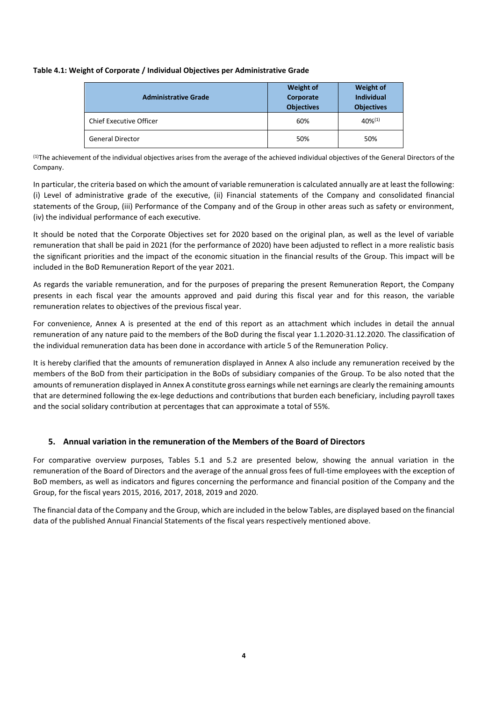### **Table 4.1: Weight of Corporate / Individual Objectives per Administrative Grade**

| <b>Administrative Grade</b>    | <b>Weight of</b><br>Corporate<br><b>Objectives</b> | <b>Weight of</b><br><b>Individual</b><br><b>Objectives</b> |  |  |
|--------------------------------|----------------------------------------------------|------------------------------------------------------------|--|--|
| <b>Chief Executive Officer</b> | 60%                                                | $40\%^{(1)}$                                               |  |  |
| <b>General Director</b>        | 50%                                                | 50%                                                        |  |  |

(1) The achievement of the individual objectives arises from the average of the achieved individual objectives of the General Directors of the Company.

In particular, the criteria based on which the amount of variable remuneration is calculated annually are at least the following: (i) Level of administrative grade of the executive, (ii) Financial statements of the Company and consolidated financial statements of the Group, (iii) Performance of the Company and of the Group in other areas such as safety or environment, (iv) the individual performance of each executive.

It should be noted that the Corporate Objectives set for 2020 based on the original plan, as well as the level of variable remuneration that shall be paid in 2021 (for the performance of 2020) have been adjusted to reflect in a more realistic basis the significant priorities and the impact of the economic situation in the financial results of the Group. This impact will be included in the BoD Remuneration Report of the year 2021.

As regards the variable remuneration, and for the purposes of preparing the present Remuneration Report, the Company presents in each fiscal year the amounts approved and paid during this fiscal year and for this reason, the variable remuneration relates to objectives of the previous fiscal year.

For convenience, Annex A is presented at the end of this report as an attachment which includes in detail the annual remuneration of any nature paid to the members of the BoD during the fiscal year 1.1.2020-31.12.2020. The classification of the individual remuneration data has been done in accordance with article 5 of the Remuneration Policy.

It is hereby clarified that the amounts of remuneration displayed in Annex A also include any remuneration received by the members of the BoD from their participation in the BoDs of subsidiary companies of the Group. To be also noted that the amounts of remuneration displayed in Annex A constitute gross earnings while net earnings are clearly the remaining amounts that are determined following the ex-lege deductions and contributions that burden each beneficiary, including payroll taxes and the social solidary contribution at percentages that can approximate a total of 55%.

## **5. Annual variation in the remuneration of the Members of the Board of Directors**

For comparative overview purposes, Tables 5.1 and 5.2 are presented below, showing the annual variation in the remuneration of the Board of Directors and the average of the annual gross fees of full-time employees with the exception of BoD members, as well as indicators and figures concerning the performance and financial position of the Company and the Group, for the fiscal years 2015, 2016, 2017, 2018, 2019 and 2020.

The financial data of the Company and the Group, which are included in the below Tables, are displayed based on the financial data of the published Annual Financial Statements of the fiscal years respectively mentioned above.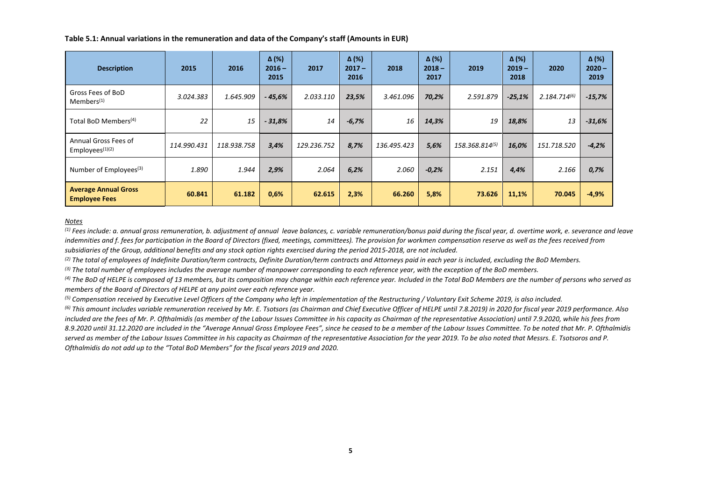**Table 5.1: Annual variations in the remuneration and data of the Company's staff (Amounts in EUR)** 

| <b>Description</b>                                  | 2015        | 2016        | $\Delta$ (%)<br>$2016 -$<br>2015 | 2017        | $\Delta$ (%)<br>$2017 -$<br>2016 | 2018        | $\Delta$ (%)<br>$2018 -$<br>2017 | 2019           | $\Delta$ (%)<br>$2019 -$<br>2018 | 2020              | $\Delta$ (%)<br>$2020 -$<br>2019 |
|-----------------------------------------------------|-------------|-------------|----------------------------------|-------------|----------------------------------|-------------|----------------------------------|----------------|----------------------------------|-------------------|----------------------------------|
| Gross Fees of BoD<br>Members <sup>(1)</sup>         | 3.024.383   | 1.645.909   | $-45,6%$                         | 2.033.110   | 23,5%                            | 3.461.096   | 70,2%                            | 2.591.879      | $-25,1%$                         | $2.184.714^{(6)}$ | $-15,7%$                         |
| Total BoD Members <sup>(4)</sup>                    | 22          | 15          | $-31,8%$                         | 14          | $-6,7%$                          | 16          | 14,3%                            | 19             | 18,8%                            | 13                | $-31,6%$                         |
| Annual Gross Fees of<br>Employees $(1)(2)$          | 114.990.431 | 118.938.758 | 3,4%                             | 129.236.752 | 8,7%                             | 136.495.423 | 5,6%                             | 158.368.814(5) | 16,0%                            | 151.718.520       | $-4,2%$                          |
| Number of Employees <sup>(3)</sup>                  | 1.890       | 1.944       | 2,9%                             | 2.064       | 6,2%                             | 2.060       | $-0,2%$                          | 2.151          | 4,4%                             | 2.166             | 0,7%                             |
| <b>Average Annual Gross</b><br><b>Employee Fees</b> | 60.841      | 61.182      | 0,6%                             | 62.615      | 2,3%                             | 66.260      | 5,8%                             | 73.626         | 11,1%                            | 70.045            | $-4,9%$                          |

#### *Notes*

(1) Fees include: a. annual gross remuneration, b. adjustment of annual leave balances, c. variable remuneration/bonus paid during the fiscal year, d. overtime work, e. severance and leave *indemnities and f. fees for participation in the Board of Directors (fixed, meetings, committees). The provision for workmen compensation reserve as well as the fees received from subsidiaries of the Group, additional benefits and any stock option rights exercised during the period 2015-2018, are not included.*

*(2) The total of employees of Indefinite Duration/term contracts, Definite Duration/term contracts and Attorneys paid in each year is included, excluding the BoD Members.*

*(3) The total number of employees includes the average number of manpower corresponding to each reference year, with the exception of the BoD members.*

*(4) The BoD of HELPE is composed of 13 members, but its composition may change within each reference year. Included in the Total BoD Members are the number of persons who served as members of the Board of Directors of HELPE at any point over each reference year.*

*(5) Compensation received by Executive Level Officers of the Company who left in implementation of the Restructuring / Voluntary Exit Scheme 2019, is also included.*

*(6) This amount includes variable remuneration received by Mr. E. Tsotsors (as Chairman and Chief Executive Officer of HELPE until 7.8.2019) in 2020 for fiscal year 2019 performance. Also included are the fees of Mr. P. Ofthalmidis (as member of the Labour Issues Committee in his capacity as Chairman of the representative Association) until 7.9.2020, while his fees from 8.9.2020 until 31.12.2020 are included in the "Average Annual Gross Employee Fees", since he ceased to be a member of the Labour Issues Committee. To be noted that Mr. P. Ofthalmidis served as member of the Labour Issues Committee in his capacity as Chairman of the representative Association for the year 2019. To be also noted that Messrs. E. Tsotsoros and P. Ofthalmidis do not add up to the "Total BoD Members" for the fiscal years 2019 and 2020.*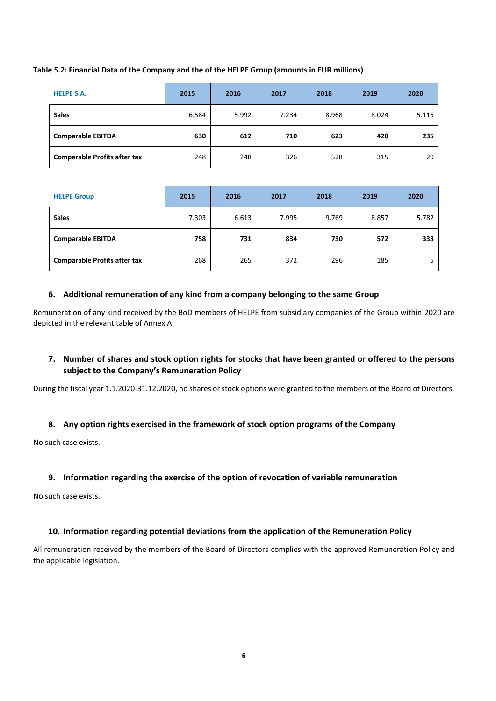## **Table 5.2: Financial Data of the Company and the of the HELPE Group (amounts in EUR millions)**

| <b>HELPE S.A.</b>                   | 2015  | 2016  | 2017  | 2018  | 2019  | 2020  |
|-------------------------------------|-------|-------|-------|-------|-------|-------|
| <b>Sales</b>                        | 6.584 | 5.992 | 7.234 | 8.968 | 8.024 | 5.115 |
| <b>Comparable EBITDA</b>            | 630   | 612   | 710   | 623   | 420   | 235   |
| <b>Comparable Profits after tax</b> | 248   | 248   | 326   | 528   | 315   | 29    |

| <b>HELPE Group</b>                  | 2015  | 2016  | 2017  | 2018  | 2019  | 2020  |
|-------------------------------------|-------|-------|-------|-------|-------|-------|
| <b>Sales</b>                        | 7.303 | 6.613 | 7.995 | 9.769 | 8.857 | 5.782 |
| <b>Comparable EBITDA</b>            | 758   | 731   | 834   | 730   | 572   | 333   |
| <b>Comparable Profits after tax</b> | 268   | 265   | 372   | 296   | 185   | 5     |

# **6. Additional remuneration of any kind from a company belonging to the same Group**

Remuneration of any kind received by the BoD members of HELPE from subsidiary companies of the Group within 2020 are depicted in the relevant table of Annex A.

# **7. Number of shares and stock option rights for stocks that have been granted or offered to the persons subject to the Company's Remuneration Policy**

During the fiscal year 1.1.2020-31.12.2020, no shares or stock options were granted to the members of the Board of Directors.

# **8. Any option rights exercised in the framework of stock option programs of the Company**

No such case exists.

# **9. Information regarding the exercise of the option of revocation of variable remuneration**

No such case exists.

## **10. Information regarding potential deviations from the application of the Remuneration Policy**

All remuneration received by the members of the Board of Directors complies with the approved Remuneration Policy and the applicable legislation.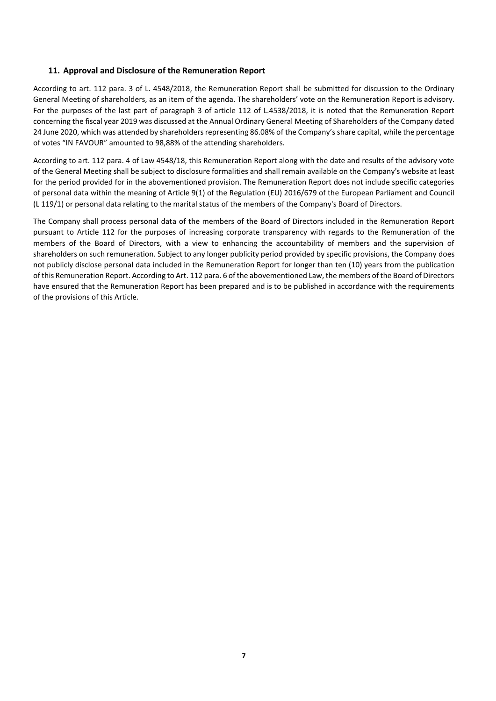## **11. Approval and Disclosure of the Remuneration Report**

According to art. 112 para. 3 of L. 4548/2018, the Remuneration Report shall be submitted for discussion to the Ordinary General Meeting of shareholders, as an item of the agenda. The shareholders' vote on the Remuneration Report is advisory. For the purposes of the last part of paragraph 3 of article 112 of L.4538/2018, it is noted that the Remuneration Report concerning the fiscal year 2019 was discussed at the Annual Ordinary General Meeting of Shareholders of the Company dated 24 June 2020, which was attended by shareholders representing 86.08% of the Company's share capital, while the percentage of votes "IN FAVOUR" amounted to 98,88% of the attending shareholders.

According to art. 112 para. 4 of Law 4548/18, this Remuneration Report along with the date and results of the advisory vote of the General Meeting shall be subject to disclosure formalities and shall remain available on the Company's website at least for the period provided for in the abovementioned provision. The Remuneration Report does not include specific categories of personal data within the meaning of Article 9(1) of the Regulation (EU) 2016/679 of the European Parliament and Council (L 119/1) or personal data relating to the marital status of the members of the Company's Board of Directors.

The Company shall process personal data of the members of the Board of Directors included in the Remuneration Report pursuant to Article 112 for the purposes of increasing corporate transparency with regards to the Remuneration of the members of the Board of Directors, with a view to enhancing the accountability of members and the supervision of shareholders on such remuneration. Subject to any longer publicity period provided by specific provisions, the Company does not publicly disclose personal data included in the Remuneration Report for longer than ten (10) years from the publication of this Remuneration Report. According to Art. 112 para. 6 of the abovementioned Law, the members of the Board of Directors have ensured that the Remuneration Report has been prepared and is to be published in accordance with the requirements of the provisions of this Article.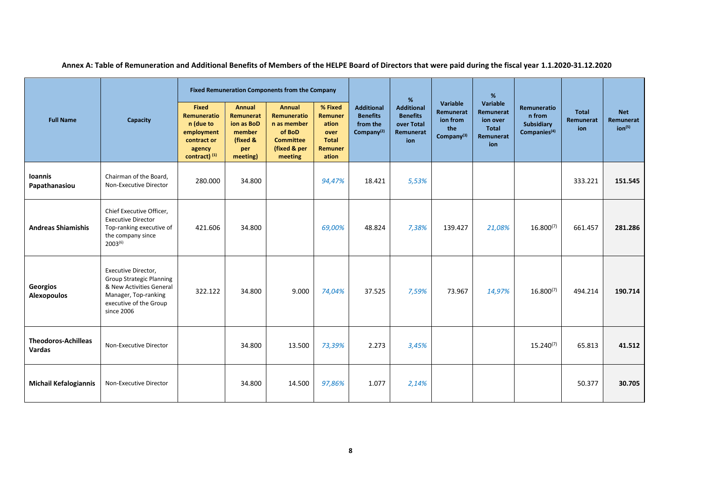| <b>Full Name</b>                            | Capacity                                                                                                                                           | <b>Fixed Remuneration Components from the Company</b>                                            |                                                                                   |                                                                                                      |                                                                         |                                                                            | %                                                                      |                                                                    | %                                                                     |                                                                        |                                  |                                               |
|---------------------------------------------|----------------------------------------------------------------------------------------------------------------------------------------------------|--------------------------------------------------------------------------------------------------|-----------------------------------------------------------------------------------|------------------------------------------------------------------------------------------------------|-------------------------------------------------------------------------|----------------------------------------------------------------------------|------------------------------------------------------------------------|--------------------------------------------------------------------|-----------------------------------------------------------------------|------------------------------------------------------------------------|----------------------------------|-----------------------------------------------|
|                                             |                                                                                                                                                    | <b>Fixed</b><br>Remuneratio<br>n (due to<br>employment<br>contract or<br>agency<br>contract) (1) | <b>Annual</b><br>Remunerat<br>ion as BoD<br>member<br>(fixed &<br>per<br>meeting) | <b>Annual</b><br>Remuneratio<br>n as member<br>of BoD<br><b>Committee</b><br>(fixed & per<br>meeting | % Fixed<br>Remuner<br>ation<br>over<br><b>Total</b><br>Remuner<br>ation | <b>Additional</b><br><b>Benefits</b><br>from the<br>Company <sup>(2)</sup> | <b>Additional</b><br><b>Benefits</b><br>over Total<br>Remunerat<br>ion | Variable<br>Remunerat<br>ion from<br>the<br>Company <sup>(3)</sup> | Variable<br>Remunerat<br>ion over<br><b>Total</b><br>Remunerat<br>ion | <b>Remuneratio</b><br>n from<br>Subsidiary<br>Companies <sup>(4)</sup> | <b>Total</b><br>Remunerat<br>ion | <b>Net</b><br>Remunerat<br>ion <sup>(5)</sup> |
| <b>Ioannis</b><br>Papathanasiou             | Chairman of the Board,<br>Non-Executive Director                                                                                                   | 280.000                                                                                          | 34.800                                                                            |                                                                                                      | 94,47%                                                                  | 18.421                                                                     | 5,53%                                                                  |                                                                    |                                                                       |                                                                        | 333.221                          | 151.545                                       |
| <b>Andreas Shiamishis</b>                   | Chief Executive Officer.<br><b>Executive Director</b><br>Top-ranking executive of<br>the company since<br>$2003^{(6)}$                             | 421.606                                                                                          | 34.800                                                                            |                                                                                                      | 69,00%                                                                  | 48.824                                                                     | 7,38%                                                                  | 139.427                                                            | 21,08%                                                                | $16.800^{(7)}$                                                         | 661.457                          | 281.286                                       |
| Georgios<br><b>Alexopoulos</b>              | Executive Director,<br><b>Group Strategic Planning</b><br>& New Activities General<br>Manager, Top-ranking<br>executive of the Group<br>since 2006 | 322.122                                                                                          | 34.800                                                                            | 9.000                                                                                                | 74,04%                                                                  | 37.525                                                                     | 7,59%                                                                  | 73.967                                                             | 14,97%                                                                | $16.800^{(7)}$                                                         | 494.214                          | 190.714                                       |
| <b>Theodoros-Achilleas</b><br><b>Vardas</b> | Non-Executive Director                                                                                                                             |                                                                                                  | 34.800                                                                            | 13.500                                                                                               | 73,39%                                                                  | 2.273                                                                      | 3,45%                                                                  |                                                                    |                                                                       | $15.240^{(7)}$                                                         | 65.813                           | 41.512                                        |
| <b>Michail Kefalogiannis</b>                | Non-Executive Director                                                                                                                             |                                                                                                  | 34.800                                                                            | 14.500                                                                                               | 97,86%                                                                  | 1.077                                                                      | 2,14%                                                                  |                                                                    |                                                                       |                                                                        | 50.377                           | 30.705                                        |

**Annex A: Table of Remuneration and Additional Benefits of Members of the HELPE Board of Directors that were paid during the fiscal year 1.1.2020-31.12.2020**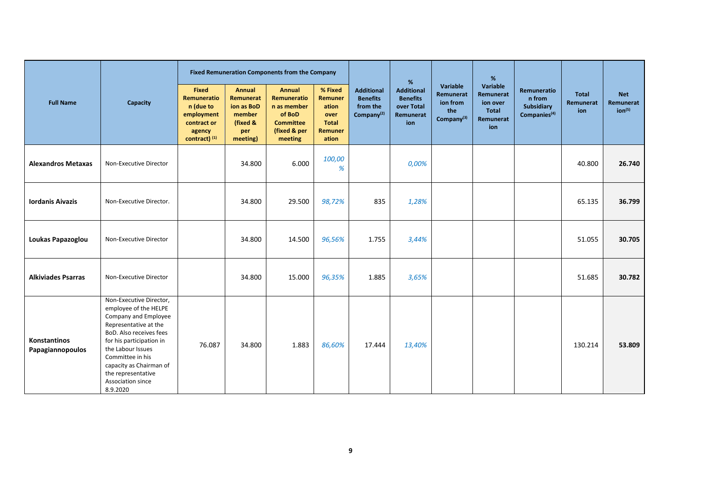| <b>Full Name</b>                 | Capacity                                                                                                                                                                                                                                                                            | <b>Fixed Remuneration Components from the Company</b>                                            |                                                                                   |                                                                                                      |                                                                         |                                                                            | %                                                                      |                                                                    | $\%$                                                           |                                                                 |                                  |                                               |
|----------------------------------|-------------------------------------------------------------------------------------------------------------------------------------------------------------------------------------------------------------------------------------------------------------------------------------|--------------------------------------------------------------------------------------------------|-----------------------------------------------------------------------------------|------------------------------------------------------------------------------------------------------|-------------------------------------------------------------------------|----------------------------------------------------------------------------|------------------------------------------------------------------------|--------------------------------------------------------------------|----------------------------------------------------------------|-----------------------------------------------------------------|----------------------------------|-----------------------------------------------|
|                                  |                                                                                                                                                                                                                                                                                     | <b>Fixed</b><br>Remuneratio<br>n (due to<br>employment<br>contract or<br>agency<br>contract) (1) | <b>Annual</b><br>Remunerat<br>ion as BoD<br>member<br>(fixed &<br>per<br>meeting) | <b>Annual</b><br>Remuneratio<br>n as member<br>of BoD<br><b>Committee</b><br>(fixed & per<br>meeting | % Fixed<br>Remuner<br>ation<br>over<br><b>Total</b><br>Remuner<br>ation | <b>Additional</b><br><b>Benefits</b><br>from the<br>Company <sup>(2)</sup> | <b>Additional</b><br><b>Benefits</b><br>over Total<br>Remunerat<br>ion | Variable<br>Remunerat<br>ion from<br>the<br>Company <sup>(3)</sup> | Variable<br>Remunerat<br>ion over<br>Total<br>Remunerat<br>ion | Remuneratio<br>n from<br>Subsidiary<br>Companies <sup>(4)</sup> | <b>Total</b><br>Remunerat<br>ion | <b>Net</b><br>Remunerat<br>ion <sup>(5)</sup> |
| <b>Alexandros Metaxas</b>        | Non-Executive Director                                                                                                                                                                                                                                                              |                                                                                                  | 34.800                                                                            | 6.000                                                                                                | 100,00<br>%                                                             |                                                                            | 0,00%                                                                  |                                                                    |                                                                |                                                                 | 40.800                           | 26.740                                        |
| <b>Iordanis Aivazis</b>          | Non-Executive Director.                                                                                                                                                                                                                                                             |                                                                                                  | 34.800                                                                            | 29.500                                                                                               | 98,72%                                                                  | 835                                                                        | 1,28%                                                                  |                                                                    |                                                                |                                                                 | 65.135                           | 36.799                                        |
| Loukas Papazoglou                | Non-Executive Director                                                                                                                                                                                                                                                              |                                                                                                  | 34.800                                                                            | 14.500                                                                                               | 96,56%                                                                  | 1.755                                                                      | 3,44%                                                                  |                                                                    |                                                                |                                                                 | 51.055                           | 30.705                                        |
| <b>Alkiviades Psarras</b>        | Non-Executive Director                                                                                                                                                                                                                                                              |                                                                                                  | 34.800                                                                            | 15.000                                                                                               | 96,35%                                                                  | 1.885                                                                      | 3,65%                                                                  |                                                                    |                                                                |                                                                 | 51.685                           | 30.782                                        |
| Konstantinos<br>Papagiannopoulos | Non-Executive Director,<br>employee of the HELPE<br>Company and Employee<br>Representative at the<br>BoD. Also receives fees<br>for his participation in<br>the Labour Issues<br>Committee in his<br>capacity as Chairman of<br>the representative<br>Association since<br>8.9.2020 | 76.087                                                                                           | 34.800                                                                            | 1.883                                                                                                | 86,60%                                                                  | 17.444                                                                     | 13,40%                                                                 |                                                                    |                                                                |                                                                 | 130.214                          | 53.809                                        |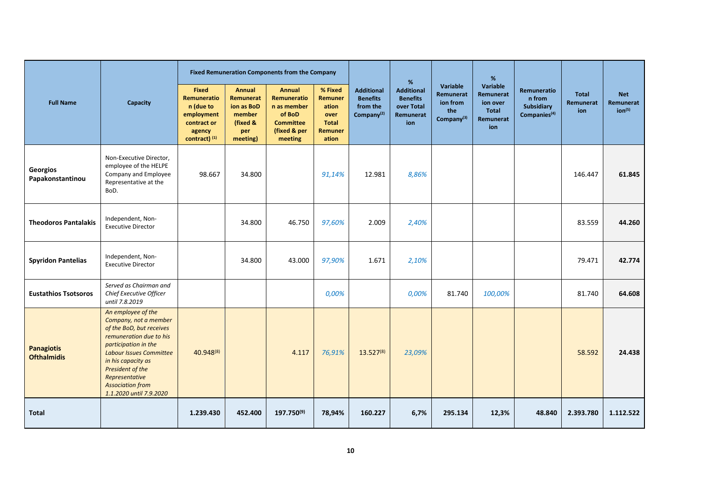| <b>Full Name</b>                        | Capacity                                                                                                                                                                                                                                                                       | <b>Fixed Remuneration Components from the Company</b>                                            |                                                                                   |                                                                                                      |                                                                         |                                                                            | %                                                                      |                                                                    | %                                                                     |                                                                 |                                  |                                               |
|-----------------------------------------|--------------------------------------------------------------------------------------------------------------------------------------------------------------------------------------------------------------------------------------------------------------------------------|--------------------------------------------------------------------------------------------------|-----------------------------------------------------------------------------------|------------------------------------------------------------------------------------------------------|-------------------------------------------------------------------------|----------------------------------------------------------------------------|------------------------------------------------------------------------|--------------------------------------------------------------------|-----------------------------------------------------------------------|-----------------------------------------------------------------|----------------------------------|-----------------------------------------------|
|                                         |                                                                                                                                                                                                                                                                                | <b>Fixed</b><br>Remuneratio<br>n (due to<br>employment<br>contract or<br>agency<br>contract) (1) | <b>Annual</b><br>Remunerat<br>ion as BoD<br>member<br>(fixed &<br>per<br>meeting) | <b>Annual</b><br>Remuneratio<br>n as member<br>of BoD<br><b>Committee</b><br>(fixed & per<br>meeting | % Fixed<br>Remuner<br>ation<br>over<br><b>Total</b><br>Remuner<br>ation | <b>Additional</b><br><b>Benefits</b><br>from the<br>Company <sup>(2)</sup> | <b>Additional</b><br><b>Benefits</b><br>over Total<br>Remunerat<br>ion | Variable<br>Remunerat<br>ion from<br>the<br>Company <sup>(3)</sup> | Variable<br>Remunerat<br>ion over<br><b>Total</b><br>Remunerat<br>ion | Remuneratio<br>n from<br>Subsidiary<br>Companies <sup>(4)</sup> | <b>Total</b><br>Remunerat<br>ion | <b>Net</b><br>Remunerat<br>ion <sup>(5)</sup> |
| Georgios<br>Papakonstantinou            | Non-Executive Director,<br>employee of the HELPE<br>Company and Employee<br>Representative at the<br>BoD.                                                                                                                                                                      | 98.667                                                                                           | 34.800                                                                            |                                                                                                      | 91,14%                                                                  | 12.981                                                                     | 8,86%                                                                  |                                                                    |                                                                       |                                                                 | 146.447                          | 61.845                                        |
| <b>Theodoros Pantalakis</b>             | Independent, Non-<br><b>Executive Director</b>                                                                                                                                                                                                                                 |                                                                                                  | 34.800                                                                            | 46.750                                                                                               | 97,60%                                                                  | 2.009                                                                      | 2,40%                                                                  |                                                                    |                                                                       |                                                                 | 83.559                           | 44.260                                        |
| <b>Spyridon Pantelias</b>               | Independent, Non-<br><b>Executive Director</b>                                                                                                                                                                                                                                 |                                                                                                  | 34.800                                                                            | 43.000                                                                                               | 97,90%                                                                  | 1.671                                                                      | 2,10%                                                                  |                                                                    |                                                                       |                                                                 | 79.471                           | 42.774                                        |
| <b>Eustathios Tsotsoros</b>             | Served as Chairman and<br>Chief Executive Officer<br>until 7.8.2019                                                                                                                                                                                                            |                                                                                                  |                                                                                   |                                                                                                      | 0,00%                                                                   |                                                                            | 0,00%                                                                  | 81.740                                                             | 100,00%                                                               |                                                                 | 81.740                           | 64.608                                        |
| <b>Panagiotis</b><br><b>Ofthalmidis</b> | An employee of the<br>Company, not a member<br>of the BoD, but receives<br>remuneration due to his<br>participation in the<br><b>Labour Issues Committee</b><br>in his capacity as<br>President of the<br>Representative<br><b>Association from</b><br>1.1.2020 until 7.9.2020 | 40.948(8)                                                                                        |                                                                                   | 4.117                                                                                                | 76,91%                                                                  | $13.527^{(8)}$                                                             | 23,09%                                                                 |                                                                    |                                                                       |                                                                 | 58.592                           | 24.438                                        |
| <b>Total</b>                            |                                                                                                                                                                                                                                                                                | 1.239.430                                                                                        | 452.400                                                                           | 197.750(9)                                                                                           | 78,94%                                                                  | 160.227                                                                    | 6,7%                                                                   | 295.134                                                            | 12,3%                                                                 | 48.840                                                          | 2.393.780                        | 1.112.522                                     |